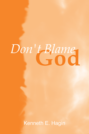# **God** *Don't Blame*

Kenneth E. Hagin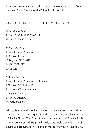Unless otherwise indicated, all scripture quotations are taken from the *King James Version* of the Bible. Public domain.

22 21 20 19 18 17 16 41 40 39 38 37 36 35

*Don't Blame God* ISBN-13: 978-0-89276-056-5 ISBN-10: 0-89276-056-7

*In the U.S. write:* Kenneth Hagin Ministries P.O. Box 50126 Tulsa, OK 74150-0126 1-888-28-FAITH rhema.org

*In Canada write:*  Kenneth Hagin Ministries of Canada P.O. Box 335, Station D Etobicoke (Toronto), Ontario Canada M9A 4X3 1-866-70-RHEMA rhemacanada.org

All rights reserved. Contents and/or cover may not be reproduced in whole or in part in any form without the express written consent of the Publisher. The Faith Shield is a trademark of Rhema Bible Church, aka Kenneth Hagin Ministries, Inc. registered with the U.S. Patent and Trademark Office and, therefore, may not be duplicated.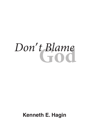# $Don't$  Blame

# **Kenneth E. Hagin**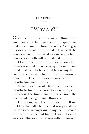#### **CHAPTER 1**  $\overline{\phantom{a}}$

# "Why Me?"

Often, before you can receive anything from God, you must find answers to the questions that are keeping you from receiving. As long as questions crowd your mind, there will be doubts in your mind. And as long as you have doubts, your faith will be hindered.

I know from my own experience on a bed of sickness that there were questions in my mind that had to be settled before my faith could be effective. I had to find the answers myself. That is the reason I was bedfast 16 months from ages 15 to 17.

Sometimes it would take me weeks and months to find the answer to a question, and just about the time I found one answer, the devil would bring up something else.

For a long time the devil tried to tell me that God had afflicted me and was punishing me for some wrongdoing in my life. I listened to this for a while, but finally I said, "Devil, I was born this way. I was born with a deformed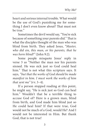heart and serious internal trouble. What would be the use of God's punishing me for something I don't even know about? That must not be true."

Sometimes the devil would say, "You're sick because of something your parents did." That is what the disciples thought of the man who was blind from birth. They asked Jesus, "*Master, who did sin, this man, or his parents, that he was born blind?"* (John 9:2).

Some people misquote Jesus' reply in verse 3 as "Neither the man nor his parents sinned. He was sick just so God could heal him." That is not what this scripture says. It says, *"but that the works of God should be made manifest in him. I must work the works of him that sent me"* (vv. 3–4).

If a person stopped reading at this point, he might say, "He is sick just so God can heal him." Wouldn't that be a terrible thing to accuse God of? Here is a grown man, blind from birth, and God made him blind just so He could heal him? If that were true, God would not be much of a God, would He? And I would not be interested in Him. But thank God, that is not true!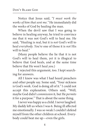Notice that Jesus said, "*I must work the works of him that sent me."* He immediately did the works of God by healing the man.

When the devil saw that I was going to believe in healing anyway, he tried to convince me that it was not God's will to heal me. He said, "Healing is real, but it is *not* God's will to heal *everybody*. *You're* one of those it is *not* His will to heal."

(Many people believe the lie that it is not God's will to heal them, yet it is illogical to believe that God heals, and at the same time believe that He won't heal *you*.)

I rejected this argument, too. I kept searching for answers.

All I knew was what I had heard preachers and other people say. Some said, "Your sickness is God's work. God is doing all of it." I could not accept this explanation. Others said, "Well, maybe God didn't *commission* it, but He *permits* it for a purpose." That is about the same thing.

I never was happy as a child. I never laughed. My daddy left us when I was 6. Being ill affected me emotionally. I was so weak I couldn't defend myself from the other children at school. Everybody could beat me up—even the girls.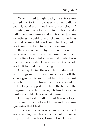When I tried to fight back, the extra effort caused me to faint, because my heart didn't beat right. Many times I was unconscious 45 minutes, and once I was out for an hour and a half. The school nurse and my teacher told me sometimes I would turn black, and sometimes I would be just as blue as I could be. They had to work long and hard to bring me around.

Because of my physical condition and because of my getting pushed around so much, by the time I went into the second grade, I was mad at everybody. I was mad at the whole world. It twisted my thinking.

One day during the noon hour I decided to take things into my own hands. I went off the school grounds to some buildings that had just been built, and I returned with a 2x4 about 20 inches long. I slipped up behind the bully of the playground and hit him right behind the ear as hard as I could. He was out 45 minutes.

I did my best to kill him. At 8 years of age, I thoroughly *meant* to kill him—and I was *disappointed* that I had not.

This was one of several such incidents. I would not fight anybody openly, but as soon as they turned their back, I would knock them in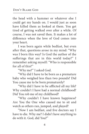the head with a hammer or whatever else I could get my hands on. I would just as soon have killed them as looked at them. You get tired of getting walked over after a while. Of course, I was not saved then. It makes a lot of difference when the love of God comes into your heart.

I was born again while bedfast, but even after that, questions arose in my mind: "Why was I born this way? Is God the author of the sufferings that are in this world today?" I remember asking myself: "Who is responsible for all of this?"

"Why me?" I asked God.

"Why did I have to be born as a premature baby who weighed less than two pounds? Did You cause me to be born prematurely?

"Why did I have to be afflicted all my life? Why couldn't I have had a normal childhood? Did You rob me of my childhood?

"Why couldn't I have known happiness? Are You the One who caused me to sit and watch as others ran, jumped, and played?

"Now I am bedfast, and five doctors say I have to die. Why me? I didn't have anything to do with it. God, did You?"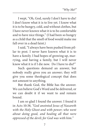I wept, "Oh, God, surely I don't have to die! I don't know what it is to live yet. I know what it is to be hungry, cold, and without clothes, but I have never known what it is to be comfortable and to have nice things." (I had been so hungry as a child that the smell of food would make me fall over in a dead faint.)

I said, "I always have been pushed from pillar to post. I never have known what it is to have a family. I had hopes of growing up, marrying, and having a family, but I will never know what it is if I die now. Do I have to die?"

Such questions demand an answer, but nobody really gives you an answer; they will give you some theological concept that does not amount to anything.

But thank God, the Bible has the answer. We can believe God's Word and be delivered, or we can doubt it if we want to and remain bound.

I am so glad I found the answer. I found it in Acts 10:38, *"God anointed Jesus of Nazareth with the Holy Ghost and with power; who went about doing good, and healing all that were oppressed of the devil; for God was with him."*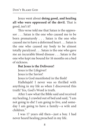Jesus went about **doing good, and healing all who were oppressed of the devil.** That is good, isn't it?

This verse told me that Satan is the oppressor . . . Satan is the one who caused me to be born prematurely . . . Satan is the one who caused me to have a deformed heart . . . Satan is the one who caused my body to be almost totally paralyzed . . . Satan is the one who gave me an incurable blood disease . . . Satan is the one who kept me bound for 16 months on a bed of sickness.

#### **But Jesus is the Deliverer!**

Jesus is the Lifegiver!

Jesus is the Savior!

Jesus is God manifested in the flesh!

Hallelujah! I never was so thrilled with anything in my life as when I discovered this truth! Yes, God's Word is truth.

After I saw what the Bible said and received my healing, I crawled out of bed and said, "I am not going to die! I am going to live, and someday I am going to have a family—a wife and children."

I was 17 years old then—just a boy. I had never heard healing preached in my life.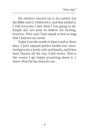My relatives warned me to be careful, but the Bible said it, I believed it, and that settled it. I told everyone I met what I was going to do. People did not want to believe my healing, however. They said I had stayed in bed so long that I had lost my mind.

Today I am the result of what I said in those days. I have enjoyed perfect health ever since. God gave me a lovely wife and family, and it has been Heaven all the way. Faith works. That is the reason I get happy preaching about it. I know what He has done for me.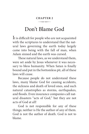#### **CHAPTER 2**  $\overline{\phantom{a}}$

# Don't Blame God

It is difficult for people who are not acquainted with the scriptures to understand that the natural laws governing the earth today largely came into being with the fall of man, when Adam sinned and the earth was cursed.

These natural laws, as we understand them, were set aside by Jesus whenever it was necessary to bless humanity. When Satan is finally bound and put in the bottomless pit, all of these laws will cease.

Because people do not understand these laws, many blame God for causing accidents, the sickness and death of loved ones, and such natural catastrophes as storms, earthquakes, and floods. Even insurance companies call natural disasters "acts of God," but they are not acts of God at all!

God is not responsible for any of these things; neither is He the author of any of them. God is not the author of death. God is not to blame.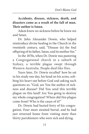**Accidents, disease, sickness, death, and disasters come as a result of the fall of man. Their author is Satan.**

Adam knew no sickness before he knew sin and Satan.

Dr. John Alexander Dowie, who helped reintroduce divine healing to the Church in the twentieth century, said, "Disease (is) the foul offspring of its father, Satan, and its mother Sin."

In the 1870s, when Dr. Dowie was pastoring a Congregational church in a suburb of Sydney, a terrible plague swept through Western Australia. People died like flies.

Years later, Dr. Dowie recalled<sup>1</sup> how he sat in his study one day, his head on his arms, sobbing his heart out before God and asking such questions as: "God, are You the author of sickness and disease? Did You send this terrible plague on this land? Are You going to destroy my whole congregation? Where did this plague come from? Who is the cause of it?"

Dr. Dowie had buried forty of his congregation. Four more awaited burial, and he had just returned home from visiting more than thirty parishioners who were sick and dying.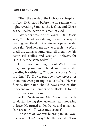"Then the words of the Holy Ghost inspired in Acts 10:38 stood before me all radiant with light, revealing Satan as the Defiler, and Christ as the Healer," wrote this man of God.

"My tears were wiped away," Dr. Dowie said, "my heart was strong. I saw the way of healing, and the door thereto was opened wide, so I said, 'God help me now to preach the Word to all the dying around, and tell them how 'tis Satan still defiles, and Jesus still delivers, for "He is just the same today.""

He did not have long to wait. Within minutes, two young men burst into his study, pleading breathlessly, "Oh, come at once. Mary is dying!" Dr. Dowie ran down the street after them, not even pausing to take his hat. He was furious that Satan should have attacked this innocent young member of his flock. He found the girl in convulsions.

As Dr. Dowie entered Mary's room, her medical doctor, having given up on her, was preparing to leave. He turned to Dr. Dowie and remarked, "Sir, are not God's ways mysterious?"

The Word of God was burning in Dr. Dowie's heart. *"God's* way!" he thundered. "How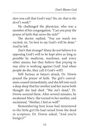*dare* you call that God's way! No, sir, that is *the devil's* work!"

He challenged the physician, who was a member of his congregation, "Can you pray the prayer of faith that saves the sick?"

The doctor replied, "You are much too excited, sir, 'tis best to say God's will be done." And he left.

(Isn't that strange? Many do not believe it is opposing God's will to be kept alive as long as possible by medicine, machines, and every other means, but they believe that *praying* to stay alive is working against God! And when people do die, they call it God's *will*!)

Still furious at Satan's attack, Dr. Dowie prayed the prayer of faith. The girl's convulsions ceased immediately, and she fell into such a deep sleep that her mother and her nurse both thought she had died. "She isn't dead," Dr. Dowie assured them. After several minutes, he awakened Mary. She turned to her mother, and exclaimed, "Mother, I feel so well!"

Remembering how Jesus had ministered to the little girl He had raised from the dead in scripture, Dr. Dowie asked, "And you're hungry?"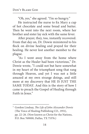"Oh, yes," she agreed. "I'm so hungry."

He instructed the nurse to fix Mary a cup of hot chocolate and some bread and butter. Then he went into the next room, where her brother and sister lay sick with the same fever.

After prayer, they, too, instantly recovered. From that day on, Dr. Dowie ministered to his flock on divine healing and prayed for their healing. He never lost another member to the plague.

"As I went away from the home where Christ as the Healer had been victorious," Dr. Dowie wrote, "I could not but have somewhat in my heart of the triumphant song that rang through Heaven, and yet I was not a little amazed at my own strange doings, and still more at my discovery that HE IS JUST THE SAME TODAY. And this is the story of how I came to preach the Gospel of Healing through Faith in Jesus."

<sup>1</sup> Gordon Lindsay, *The Life of John Alexander Dowie* (The Voice of Healing Publishing CO., 1951), pp. 22–26. (Now known as Christ for the Nations, P.O. Box 769000, Dallas, TX 75376.)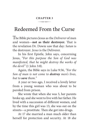#### **CHAPTER 3**  $\overline{\phantom{a}}$

# Redeemed From the Curse

The Bible pictures Jesus as the *Deliverer* of men and women—**not as their destroyer.** That is the revelation Dr. Dowie saw that day: *Satan* is the destroyer. *Jesus* is the Deliverer.

In his first Epistle, John says, concerning Jesus, "*For this purpose the Son of God was manifested, that he might destroy the works of the devil"* (1 John 3:8).

Again, the Bible says in Luke 9:56, *"For the Son of man is not come to destroy men's lives, but to save them."*

A year or two ago, I received a lovely letter from a young woman who was about to be paroled from prison.

She wrote that when she was 5, her parents broke up, and she went to live with her father. He lived with a succession of different women, and by the time this girl was 13, she was out on the streets—a prostitute. Then she got into drugs.

At 17 she married a man much older than herself for protection and security. At 18 she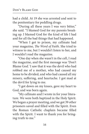had a child. At 19 she was arrested and sent to the penitentiary for peddling drugs.

"During all these years I was very bitter," she said. "I blamed God for my parents breaking up. I blamed God for the kind of life I had and for all the bad things that had happened.

"When I got to prison, my cellmate had your magazine, *The Word of Faith.* She tried to witness to me, but I wouldn't listen to her, and I wouldn't read the magazine.

"One day when she wasn't in the cell, I read the magazine, and the first message was 'Don't Blame God.' I saw that it was the devil who had robbed me of a mother, who had caused my home to be divided, and who had caused all my misery, suffering, and heartache. I got mad at the devil for lying to me.

"I got down on my knees, gave my heart to God, and was born again.

"My cellmate and I wrote in for your literature. We were both baptized in the Holy Spirit. We began a prayer meeting, and we got 39 other prisoners saved and filled with the Spirit. Even the Roman Catholic chaplain became filled with the Spirit. I want to thank you for bringing truth to me."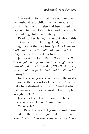She went on to say that she would return to her husband and child after her release from prison. Her husband also had been saved and baptized in the Holy Spirit, and the couple planned to go into the ministry.

Reading her letter, I thought about this principle of not blaming God, but I also thought about the scripture *"ye shall know the truth, and the truth shall make you free"* (John 8:32). The truth had set her free.

Jesus said in John 10:10, *"I am come that they might have life, and that they might have it more abundantly."* He added, *"The thief* (Satan) *cometh not, but for to steal, and to kill, and to destroy."*

In this verse, Jesus is contrasting the works of God with the works of the devil. You see, that which *steals*—that which *kills*—that which **destroys**—is the devil's work. That is plain enough, isn't it?

Jesus made another profound statement in this verse when He said, "*I am come. . . ."*

Who is He?

The Bible teaches that **Jesus is God manifested in the flesh.** In John 14:9, Jesus said, *"Have I been so long time with you, and yet hast*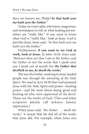*thou not known me, Philip? he that hath seen me hath seen the Father."*

Today we trust radio, television, magazines, and newspapers to tell us what leading personalities are "really like." If you want to know what God is "really like," look at Jesus. God is just like Jesus. Jesus said, *"he that hath seen me hath seen the Father."*

Furthermore, **if you want to see God at work, look at Jesus.** In John 14:10, Jesus said, *"Believest thou not that I am in the Father, and the Father in me? the words that I speak unto you I speak not of myself: but the Father that dwelleth in me, he doeth the works."*

The way the Father, working in Jesus, healed people was *through the anointing of the Holy Spirit.* We read in Acts 10:38 that God anointed Jesus with the Holy Spirit and power—healing power—and He went about doing good and healing all who were oppressed of the devil. These are the works of God. (This and other scriptures plainly call sickness Satanic oppression.)

When Jesus said, *"the Father . . . doeth the works,"* it meant that He did *all* of the works that Jesus did. For example, when Jesus was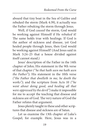aboard that tiny boat in the Sea of Galilee and rebuked the storm (Mark 4:39), it actually was the Father rebuking the storm through Jesus.

Well, if God *caused* the storm, God would be working against Himself if He *rebuked* it! The same holds true with healings. If God is the author of sickness and disease, yet God healed people through Jesus, then God would be working against Himself! (And Jesus said in Mark 3:24–25 that a house divided against itself cannot stand.)

Jesus' description of the Father in the 14th chapter of John; His statement in the 9th verse of that chapter *("he that hath seen me hath seen the Father")*; His statement in the 10th verse *("the Father that dwelleth in me, he doeth the works")*; and the scripture from Acts 10 *("he went about doing good, and healing all that were oppressed by the devil")* make it impossible for me to accept the teaching that disease and sickness are of God. The very nature of God the Father refutes that argument.

Jesus plainly taught in these and other scriptures that disease and sickness are of Satan.

Let us examine the 13th chapter of Luke's Gospel, for example. Here, Jesus was in a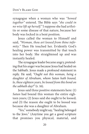synagogue when a woman who was *"bowed together"* entered. The Bible says *"she could in no wise lift up herself."* I suppose she had arthritis or some disease of that nature, because her body was locked in a bent position.

Jesus called the woman to Himself and said, *"Woman, thou art loosed from thine infirmity."* Then He touched her. Evidently God's healing power was transmitted by that touch into her body. She straightened up and was instantly healed.

The synagogue leader became angry, pretending that his anger was because Jesus had healed on the Sabbath. Jesus made a profound statement in reply. He said, *"Ought not this woman, being a daughter of Abraham, whom Satan hath bound, lo, these eighteen years, be loosed from this bond on the sabbath day?"* (v. 16).

Jesus said three positive statements here: (1) *Satan* had bound this woman the entire eighteen years; (2) Jesus said she ought to be loosed; and (3) the reason she ought to be loosed was because she was a daughter of Abraham.

"Yes," somebody might say, "healing belonged to the Jews." (Anytime you get a good scripture that promises you physical, material, and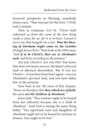financial prosperity or blessing, somebody always says, "That was just for the Jews.") Well, wait a minute.

Turn to Galatians 3:13–14: *"Christ hath redeemed us from the curse of the law, being made a curse for us: for it is written, Cursed is every one that hangeth on a tree: That the blessing of Abraham might come on the Gentiles through Jesus Christ."* Now look at the 29th verse: *"And if ye be Christ's, then are ye Abraham's seed, and heirs according to the promise."*

Are you Christ's? Are you His? You know that does not mean you are Abraham's *physical* seed or physical descendant. But if you are Christ's—if you have been born again—you are Abraham's *spiritual* seed, and you have fallen heir to the promise.

Now look at the 7th verse of this chapter: *"Know ye therefore that they which are of faith, the same are the children of Abraham."*

Jesus said, "This woman ought to be loosed from her infirmity because she is a child of Abraham." And God is saying the same thing today: "You (spiritual) sons and daughters of Abraham ought not to be bound by sickness or disease. You ought to be free."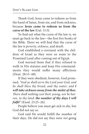Thank God, Jesus came to redeem us from the hand of Satan, from sin, and from sickness, because **Jesus came to redeem us from the curse of the law** (Gal. 3:13).

To find out what the curse of the law is, we must go back to the law—the first five books of the Bible. There we will find that the curse of the law is *poverty, sickness,* and *death.*

God established a covenant with the children of Israel as they were en route to the Promised Land after coming out of Egypt.

God warned them that if they refused to walk in His statutes and keep His commandments they would suffer many afflictions (Deut. 28:15–68).

If they were obedient, however, God promised, *"And ye shall serve the Lord your God, and he shall bless thy bread, and thy water; and I will take sickness away from the midst of thee. There shall nothing cast their young, nor be barren, in thy land: the number of thy days I will fulfil"* (Exod. 23:25–26).

People believe you must get sick to die, but God did not say so.

God said He would fulfill the number of their days. He did not say they were *not* going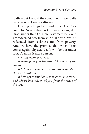to die—but He said they would not have to die because of sickness or disease.

Healing belongs to us under the New Covenant (or New Testament) just as it belonged to Israel under the Old. New Testament believers *are* redeemed now from spiritual death. We *are*  redeemed from sickness and from poverty. And we have the promise that when Jesus comes again, physical death will be put under foot. To make it more personal:

*Healing belongs to you.*

*It belongs to you because sickness is of the enemy.*

*It belongs to you because you are a spiritual child of Abraham.*

*It belongs to you because sickness is a curse, and Christ has redeemed you from the curse of the law.*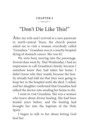#### **CHAPTER 4**  $\overline{\phantom{a}}$

# "Don't Die Like This!"

After my wife and I arrived at a new pastorate in north-central Texas, the church pianist asked me to visit a woman everybody called "Grandma." Grandma was in a nearby hospital dying of stomach cancer. She was 82.

We were busy moving into the parsonage. Several days went by. That Wednesday, I had an impression to call Grandma's family, because I somehow knew they had taken her home. I didn't know why they would, because the family already had told me that they were going to keep her in the hospital until she died. I called, and her daughter confirmed that Grandma had talked the doctor into sending her home to die.

I went to visit Grandma. She was a woman who knew about divine healing. She had been healed years before, and the healing had brought her into the baptism of the Holy Spirit.

I began to talk to her about letting God heal her.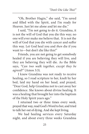"Oh, Brother Hagin," she said, "I'm saved and filled with the Spirit, and I'm ready for Heaven. Just let me alone and let me die."

I said, "I'm not going to do it. Grandma, it is not the will of God that you die this way; no one will ever make me believe that. It is not the will of God that you die with cancer and suffer this way. Let God heal you and *then* die if you want to—but don't die like this!"

Friends, you are not going to get somebody healed if you are believing they will live, and they are believing they will die. As the Bible says, *"Can two walk together, except they be agreed?"* (Amos 3:3).

I knew Grandma was not ready to receive healing, so I read scripture to her, knelt by her bed, laid my hand on her head, and prayed, "Dear God, help Grandma not to cast away her confidence. She knows about divine healing. It was a healing that brought her into the baptism of the Holy Spirit years ago."

I returned two or three times every week, prayed that way, read God's Word to her, and tried to talk her out of dying. And she kept living.

We had healing services every Saturday night, and about every three weeks Grandma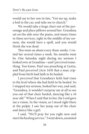would say to her son-in-law, "Get me up, make a bed in the car, and take me to church."

We would take a large chair out of the parsonage and place pillows around her. Grandma sat on the side near the piano, and many times in these services, right in the middle of my sermon, she would have a spell, and you would think she was dead.

This went on about every three weeks. I visited her several times a week. Six months went by. One Saturday night during my sermon I looked over at Grandma—and I *perceived* something. You know, Paul was preaching at Lystra, and Paul *perceived* (Acts 14:9) that a man crippled from birth had faith to be healed.

I *perceived* that Grandma's faith had risen to the level where she had faith to be healed. So I stopped my sermon, looked her way, and said, "Grandma, it wouldn't surprise me at all to see you out of that chair healed, dancing like a 16 year old." When I said that to her, the Lord gave me a vision. In the vision, as I stood right there at the pulpit, I saw her jump out of the chair and dance like a girl.

I said, "We'll pray for you right now and start the healing service." I went down, anointed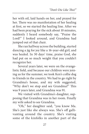her with oil, laid hands on her, and prayed for her. There was no manifestation of her healing at first, so we started the healing line. After we had been praying for the sick about 10 minutes, suddenly I heard somebody say, "Praise the Lord!" I looked around, and Grandma had jumped out of that chair.

She ran halfway across the building, started dancing a jig for joy like a 16-year-old girl, and was healed. In 30 days' time, praise God, she had put on so much weight that you couldn't recognize her.

Several years later, we were on the evangelistic field, and because our children were joining us for the summer, we took Ken's collie dog to friends in the country. We had to go right by Grandma's house, and my wife suggested, "Why don't we stop and see Grandma?" This was 9 years later, and Grandma was 91.

We visited with Grandma's daughter, supposing that Grandma was in her room. Finally my wife asked to see Grandma.

"Oh," her daughter said, "you know Ma. She's just like she always was. She's off gallivanting around the country. She's visiting some of the kinfolks in another part of the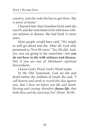country, and she rode the bus to get there. She is never at home."

I learned later that Grandma lived until she was 93, and she went home to be with Jesus *without* sickness or disease. She had lived 11 more years.

Most people would have said, "We might as well go ahead and die. After all, God only promised us 70 or 80 years." Yes, He did. And, yes, you are going to die sometime—but *you do not have to die with sickness and disease.* Not if you are one of Abraham's spiritual descendants.

I know God's Word. God's Word works.

In the Old Testament, God set life and death before the children of Israel. He said, *"I call heaven and earth to record this day against you, that I have set before you life and death, blessing and cursing: therefore choose life, that both thou and thy seed may live"* (Deut. 30:19).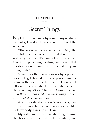#### **CHAPTER 5**  $\overline{\phantom{a}}$

### Secret Things

People have asked me why some of my relatives did not get healed. I have asked the Lord the same question.

"That is a secret between them and Me," the Lord told me once when I prayed about it. He said very plainly, "It's none of your business. You keep preaching healing and leave that question alone. Don't even touch it in your thought life."

Sometimes there is a reason why a person does not get healed. It is a private matter between them and the Lord, and He does not tell everyone else about it. The Bible says in Deuteronomy 29:29, *"The secret things belong unto the Lord our God: but those things which are revealed belong unto us."*

After my sister died at age 55 of cancer, I lay on my bed, meditating. Suddenly it seemed like I left my body. I was up in Heaven.

My sister and Jesus were standing talking. Her back was to me. I don't know what Jesus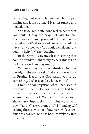was saying, but when He saw me, He stopped talking and looked at me. My sister turned and looked, too.

She said, "Kenneth, don't feel so badly that you couldn't pray the prayer of faith for me. There was a reason you couldn't. I suffered a lot, but since it's all over and I'm here, I wouldn't have it any other way. You couldn't help me, but you *can* help Joy" (her daughter).

In the Spirit, I saw myself ministering that coming Sunday night to my niece. (This vision took place on Thursday night.)

We buried my sister on Saturday. On Sunday night, the pastor said, "I don't know what it is, Brother Hagin, but God wants you to do something. Feel free to do whatever it is."

I told the congregation what I had seen in my vision. I called Joy forward. (Joy had had numerous shock treatments. She walked around like a robot. We had to give her such elementary instructions as "Put your arm down" and "Close your mouth.") I found myself casting three devils out of Joy. Her whole countenance changed. She has been completely free ever since.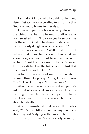I still don't know why I could not help my sister. But we know according to scripture that God was not to blame for her death.

I knew a pastor who was very strong on preaching that healing belongs to all of us. A woman asked him, "How can you be so positive it is the will of God to heal everybody when you lost your only daughter when she was 13?"

The pastor replied, "Well, first of all, I believe that if we had known then what we know now, she would not have died. Second, we haven't lost her. She's over in Father's house. Third, we didn't lose the battle; we just lost that one round. I stand in faith."

A lot of times we wait until it is too late to do something. Hope says, "I'll get healed *sometime*." Heart faith says, "It's mine *now."*

About seven years after a certain pastor's wife died of cancer at an early age, I held a meeting in that church. A death pall still hung over the church. The people were all bewildered about her death.

After I ministered that week, the pastor said, "You've just lifted a cloud off my shoulders about my wife's dying with cancer. She was in the ministry with me. She was a holy woman; a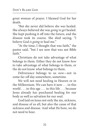great woman of prayer. I blamed God for her death.

"But she never did believe she *was* healed. She always believed she was *going to get* healed. She kept pushing it off into the future, and the disease took its course. She died saying, "I believe God *is going to* heal me."

"At the time, I thought that was faith," the pastor said, "but I see now that was not Bible faith."

Christians do not take advantage of what belongs to them. Either they do not know *how* to take advantage of what belongs to them, or the do not know *what* belongs to them.

Deliverance belongs to us *now*—not in some far-off day somewhere, sometime.

We will not need healing in Heaven or in the Millennium. We can have it now . . . in this world . . . in this age . . . in this life . . . because Jesus already *has* purchased healing for our body as well as salvation for our soul.

God laid on Jesus not only the sin, sickness, and disease of us all, but also the cause of that sickness and disease. And what He bore, we do not need to bear.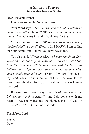#### **A Sinner's Prayer to Receive Jesus as Savior**

Dear Heavenly Father,

I come to You in the Name of Jesus.

Your Word says, *"The one who comes to Me I will by no means cast out"* (John 6:37 NKJV). I know You won't cast me out. You take me in, and I thank You for that.

You said in Your Word, *"Whoever calls on the name of the Lord shall be saved"* (Rom. 10:13 NKJV). I am calling on Your Name, and I know You have saved me.

You also said, *"If you confess with your mouth the Lord Jesus and believe in your heart that God has raised Him from the dead, you will be saved. For with the heart one believes unto righteousness, and with the mouth confession is made unto salvation"* (Rom. 10:9–10). I believe in my heart Jesus Christ is the Son of God. I believe He was raised from the dead for my justification. I confess Him as my Lord.

Because Your Word says that *"with the heart one believes unto righteousness"*—and I do believe with my heart—I have now become the righteousness of God in Christ (2 Cor. 5:21). I am now saved!

Kenneth E. Hagine<br>Hagine E. Hagine E. Hagine E. Hagine E.

Thank You, Lord!

Signed

Date